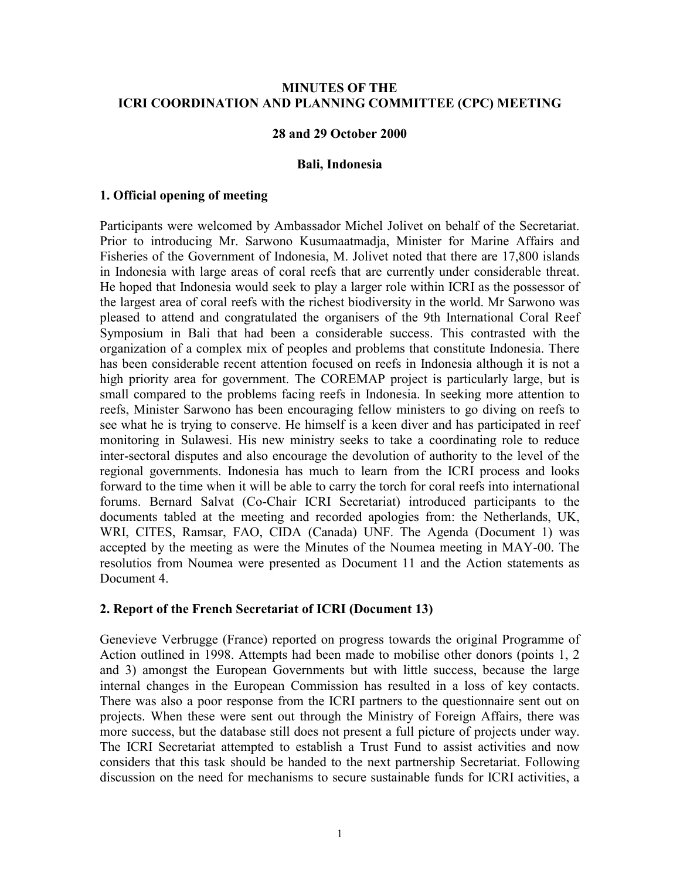### **MINUTES OF THE ICRI COORDINATION AND PLANNING COMMITTEE (CPC) MEETING**

#### **28 and 29 October 2000**

#### **Bali, Indonesia**

### **1. Official opening of meeting**

Participants were welcomed by Ambassador Michel Jolivet on behalf of the Secretariat. Prior to introducing Mr. Sarwono Kusumaatmadja, Minister for Marine Affairs and Fisheries of the Government of Indonesia, M. Jolivet noted that there are 17,800 islands in Indonesia with large areas of coral reefs that are currently under considerable threat. He hoped that Indonesia would seek to play a larger role within ICRI as the possessor of the largest area of coral reefs with the richest biodiversity in the world. Mr Sarwono was pleased to attend and congratulated the organisers of the 9th International Coral Reef Symposium in Bali that had been a considerable success. This contrasted with the organization of a complex mix of peoples and problems that constitute Indonesia. There has been considerable recent attention focused on reefs in Indonesia although it is not a high priority area for government. The COREMAP project is particularly large, but is small compared to the problems facing reefs in Indonesia. In seeking more attention to reefs, Minister Sarwono has been encouraging fellow ministers to go diving on reefs to see what he is trying to conserve. He himself is a keen diver and has participated in reef monitoring in Sulawesi. His new ministry seeks to take a coordinating role to reduce inter-sectoral disputes and also encourage the devolution of authority to the level of the regional governments. Indonesia has much to learn from the ICRI process and looks forward to the time when it will be able to carry the torch for coral reefs into international forums. Bernard Salvat (Co-Chair ICRI Secretariat) introduced participants to the documents tabled at the meeting and recorded apologies from: the Netherlands, UK, WRI, CITES, Ramsar, FAO, CIDA (Canada) UNF. The Agenda (Document 1) was accepted by the meeting as were the Minutes of the Noumea meeting in MAY-00. The resolutios from Noumea were presented as Document 11 and the Action statements as Document 4

#### **2. Report of the French Secretariat of ICRI (Document 13)**

Genevieve Verbrugge (France) reported on progress towards the original Programme of Action outlined in 1998. Attempts had been made to mobilise other donors (points 1, 2 and 3) amongst the European Governments but with little success, because the large internal changes in the European Commission has resulted in a loss of key contacts. There was also a poor response from the ICRI partners to the questionnaire sent out on projects. When these were sent out through the Ministry of Foreign Affairs, there was more success, but the database still does not present a full picture of projects under way. The ICRI Secretariat attempted to establish a Trust Fund to assist activities and now considers that this task should be handed to the next partnership Secretariat. Following discussion on the need for mechanisms to secure sustainable funds for ICRI activities, a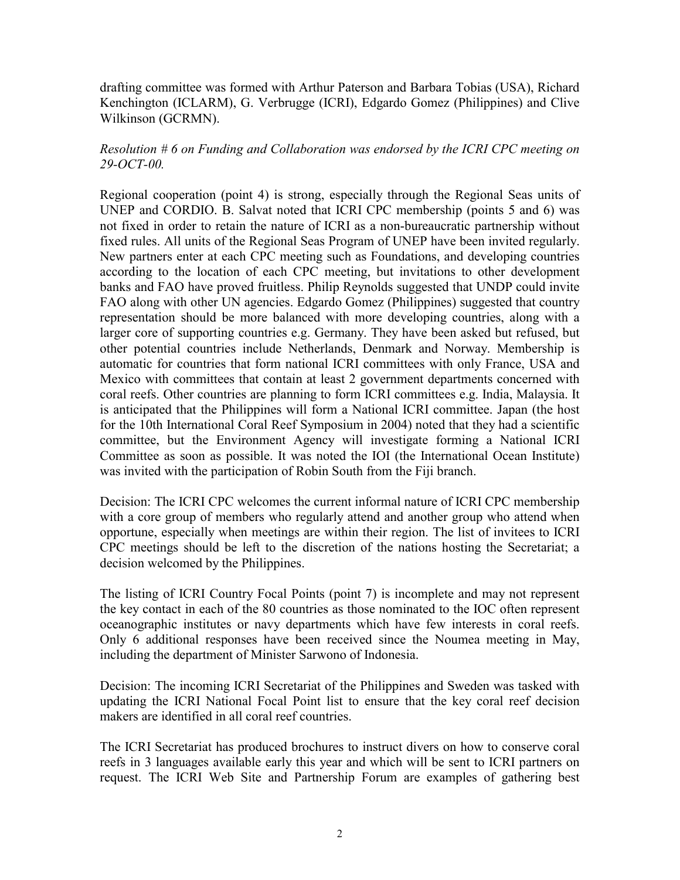drafting committee was formed with Arthur Paterson and Barbara Tobias (USA), Richard Kenchington (ICLARM), G. Verbrugge (ICRI), Edgardo Gomez (Philippines) and Clive Wilkinson (GCRMN).

### *Resolution # 6 on Funding and Collaboration was endorsed by the ICRI CPC meeting on 29-OCT-00.*

Regional cooperation (point 4) is strong, especially through the Regional Seas units of UNEP and CORDIO. B. Salvat noted that ICRI CPC membership (points 5 and 6) was not fixed in order to retain the nature of ICRI as a non-bureaucratic partnership without fixed rules. All units of the Regional Seas Program of UNEP have been invited regularly. New partners enter at each CPC meeting such as Foundations, and developing countries according to the location of each CPC meeting, but invitations to other development banks and FAO have proved fruitless. Philip Reynolds suggested that UNDP could invite FAO along with other UN agencies. Edgardo Gomez (Philippines) suggested that country representation should be more balanced with more developing countries, along with a larger core of supporting countries e.g. Germany. They have been asked but refused, but other potential countries include Netherlands, Denmark and Norway. Membership is automatic for countries that form national ICRI committees with only France, USA and Mexico with committees that contain at least 2 government departments concerned with coral reefs. Other countries are planning to form ICRI committees e.g. India, Malaysia. It is anticipated that the Philippines will form a National ICRI committee. Japan (the host for the 10th International Coral Reef Symposium in 2004) noted that they had a scientific committee, but the Environment Agency will investigate forming a National ICRI Committee as soon as possible. It was noted the IOI (the International Ocean Institute) was invited with the participation of Robin South from the Fiji branch.

Decision: The ICRI CPC welcomes the current informal nature of ICRI CPC membership with a core group of members who regularly attend and another group who attend when opportune, especially when meetings are within their region. The list of invitees to ICRI CPC meetings should be left to the discretion of the nations hosting the Secretariat; a decision welcomed by the Philippines.

The listing of ICRI Country Focal Points (point 7) is incomplete and may not represent the key contact in each of the 80 countries as those nominated to the IOC often represent oceanographic institutes or navy departments which have few interests in coral reefs. Only 6 additional responses have been received since the Noumea meeting in May, including the department of Minister Sarwono of Indonesia.

Decision: The incoming ICRI Secretariat of the Philippines and Sweden was tasked with updating the ICRI National Focal Point list to ensure that the key coral reef decision makers are identified in all coral reef countries.

The ICRI Secretariat has produced brochures to instruct divers on how to conserve coral reefs in 3 languages available early this year and which will be sent to ICRI partners on request. The ICRI Web Site and Partnership Forum are examples of gathering best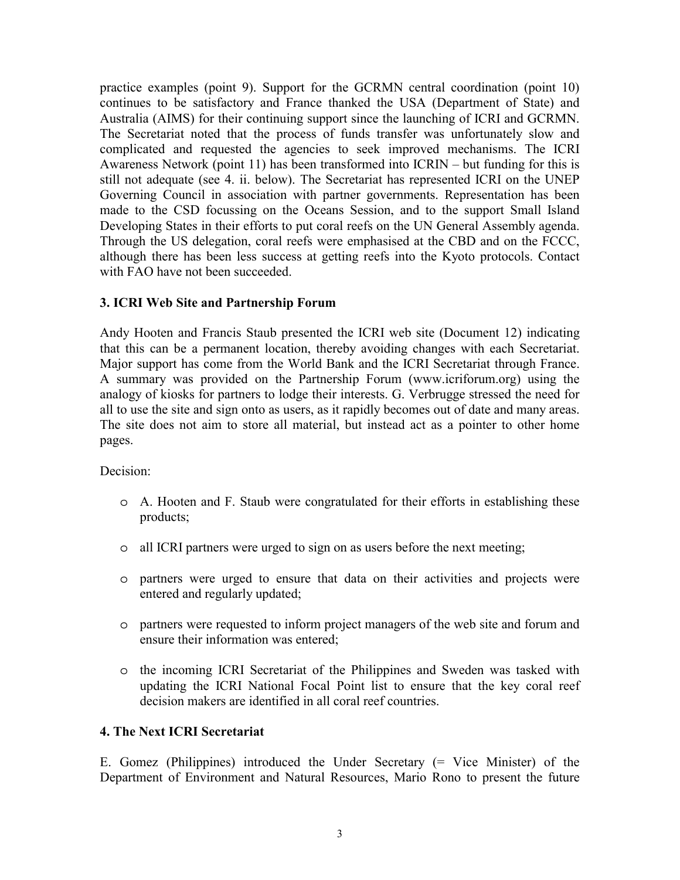practice examples (point 9). Support for the GCRMN central coordination (point 10) continues to be satisfactory and France thanked the USA (Department of State) and Australia (AIMS) for their continuing support since the launching of ICRI and GCRMN. The Secretariat noted that the process of funds transfer was unfortunately slow and complicated and requested the agencies to seek improved mechanisms. The ICRI Awareness Network (point 11) has been transformed into  $ICRIN - but funding for this is$ still not adequate (see 4. ii. below). The Secretariat has represented ICRI on the UNEP Governing Council in association with partner governments. Representation has been made to the CSD focussing on the Oceans Session, and to the support Small Island Developing States in their efforts to put coral reefs on the UN General Assembly agenda. Through the US delegation, coral reefs were emphasised at the CBD and on the FCCC, although there has been less success at getting reefs into the Kyoto protocols. Contact with FAO have not been succeeded.

### **3. ICRI Web Site and Partnership Forum**

Andy Hooten and Francis Staub presented the ICRI web site (Document 12) indicating that this can be a permanent location, thereby avoiding changes with each Secretariat. Major support has come from the World Bank and the ICRI Secretariat through France. A summary was provided on the Partnership Forum (www.icriforum.org) using the analogy of kiosks for partners to lodge their interests. G. Verbrugge stressed the need for all to use the site and sign onto as users, as it rapidly becomes out of date and many areas. The site does not aim to store all material, but instead act as a pointer to other home pages.

Decision:

- o A. Hooten and F. Staub were congratulated for their efforts in establishing these products;
- o all ICRI partners were urged to sign on as users before the next meeting;
- o partners were urged to ensure that data on their activities and projects were entered and regularly updated;
- o partners were requested to inform project managers of the web site and forum and ensure their information was entered;
- o the incoming ICRI Secretariat of the Philippines and Sweden was tasked with updating the ICRI National Focal Point list to ensure that the key coral reef decision makers are identified in all coral reef countries.

### **4. The Next ICRI Secretariat**

E. Gomez (Philippines) introduced the Under Secretary (= Vice Minister) of the Department of Environment and Natural Resources, Mario Rono to present the future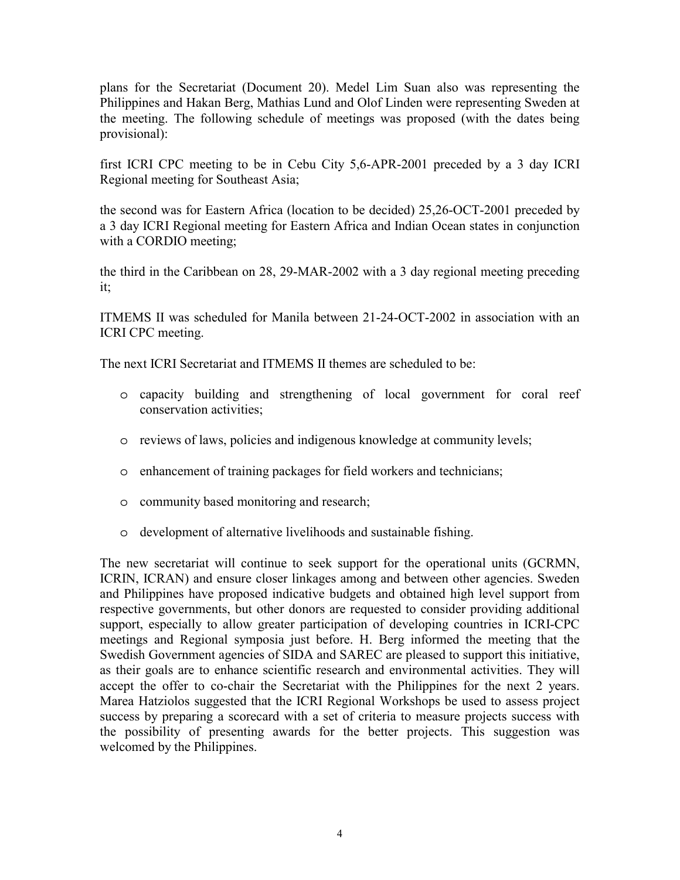plans for the Secretariat (Document 20). Medel Lim Suan also was representing the Philippines and Hakan Berg, Mathias Lund and Olof Linden were representing Sweden at the meeting. The following schedule of meetings was proposed (with the dates being provisional):

first ICRI CPC meeting to be in Cebu City 5,6-APR-2001 preceded by a 3 day ICRI Regional meeting for Southeast Asia;

the second was for Eastern Africa (location to be decided) 25,26-OCT-2001 preceded by a 3 day ICRI Regional meeting for Eastern Africa and Indian Ocean states in conjunction with a CORDIO meeting;

the third in the Caribbean on 28, 29-MAR-2002 with a 3 day regional meeting preceding it;

ITMEMS II was scheduled for Manila between 21-24-OCT-2002 in association with an ICRI CPC meeting.

The next ICRI Secretariat and ITMEMS II themes are scheduled to be:

- o capacity building and strengthening of local government for coral reef conservation activities;
- o reviews of laws, policies and indigenous knowledge at community levels;
- o enhancement of training packages for field workers and technicians;
- o community based monitoring and research;
- o development of alternative livelihoods and sustainable fishing.

The new secretariat will continue to seek support for the operational units (GCRMN, ICRIN, ICRAN) and ensure closer linkages among and between other agencies. Sweden and Philippines have proposed indicative budgets and obtained high level support from respective governments, but other donors are requested to consider providing additional support, especially to allow greater participation of developing countries in ICRI-CPC meetings and Regional symposia just before. H. Berg informed the meeting that the Swedish Government agencies of SIDA and SAREC are pleased to support this initiative, as their goals are to enhance scientific research and environmental activities. They will accept the offer to co-chair the Secretariat with the Philippines for the next 2 years. Marea Hatziolos suggested that the ICRI Regional Workshops be used to assess project success by preparing a scorecard with a set of criteria to measure projects success with the possibility of presenting awards for the better projects. This suggestion was welcomed by the Philippines.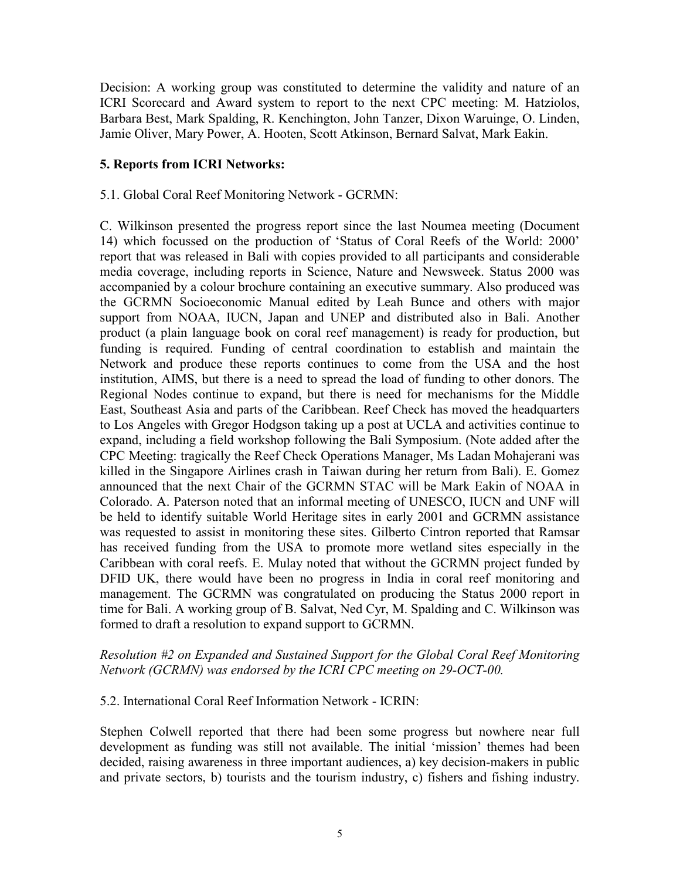Decision: A working group was constituted to determine the validity and nature of an ICRI Scorecard and Award system to report to the next CPC meeting: M. Hatziolos, Barbara Best, Mark Spalding, R. Kenchington, John Tanzer, Dixon Waruinge, O. Linden, Jamie Oliver, Mary Power, A. Hooten, Scott Atkinson, Bernard Salvat, Mark Eakin.

### **5. Reports from ICRI Networks:**

### 5.1. Global Coral Reef Monitoring Network - GCRMN:

C. Wilkinson presented the progress report since the last Noumea meeting (Document 14) which focussed on the production of 'Status of Coral Reefs of the World: 2000' report that was released in Bali with copies provided to all participants and considerable media coverage, including reports in Science, Nature and Newsweek. Status 2000 was accompanied by a colour brochure containing an executive summary. Also produced was the GCRMN Socioeconomic Manual edited by Leah Bunce and others with major support from NOAA, IUCN, Japan and UNEP and distributed also in Bali. Another product (a plain language book on coral reef management) is ready for production, but funding is required. Funding of central coordination to establish and maintain the Network and produce these reports continues to come from the USA and the host institution, AIMS, but there is a need to spread the load of funding to other donors. The Regional Nodes continue to expand, but there is need for mechanisms for the Middle East, Southeast Asia and parts of the Caribbean. Reef Check has moved the headquarters to Los Angeles with Gregor Hodgson taking up a post at UCLA and activities continue to expand, including a field workshop following the Bali Symposium. (Note added after the CPC Meeting: tragically the Reef Check Operations Manager, Ms Ladan Mohajerani was killed in the Singapore Airlines crash in Taiwan during her return from Bali). E. Gomez announced that the next Chair of the GCRMN STAC will be Mark Eakin of NOAA in Colorado. A. Paterson noted that an informal meeting of UNESCO, IUCN and UNF will be held to identify suitable World Heritage sites in early 2001 and GCRMN assistance was requested to assist in monitoring these sites. Gilberto Cintron reported that Ramsar has received funding from the USA to promote more wetland sites especially in the Caribbean with coral reefs. E. Mulay noted that without the GCRMN project funded by DFID UK, there would have been no progress in India in coral reef monitoring and management. The GCRMN was congratulated on producing the Status 2000 report in time for Bali. A working group of B. Salvat, Ned Cyr, M. Spalding and C. Wilkinson was formed to draft a resolution to expand support to GCRMN.

## *Resolution #2 on Expanded and Sustained Support for the Global Coral Reef Monitoring Network (GCRMN) was endorsed by the ICRI CPC meeting on 29-OCT-00.*

### 5.2. International Coral Reef Information Network - ICRIN:

Stephen Colwell reported that there had been some progress but nowhere near full development as funding was still not available. The initial 'mission' themes had been decided, raising awareness in three important audiences, a) key decision-makers in public and private sectors, b) tourists and the tourism industry, c) fishers and fishing industry.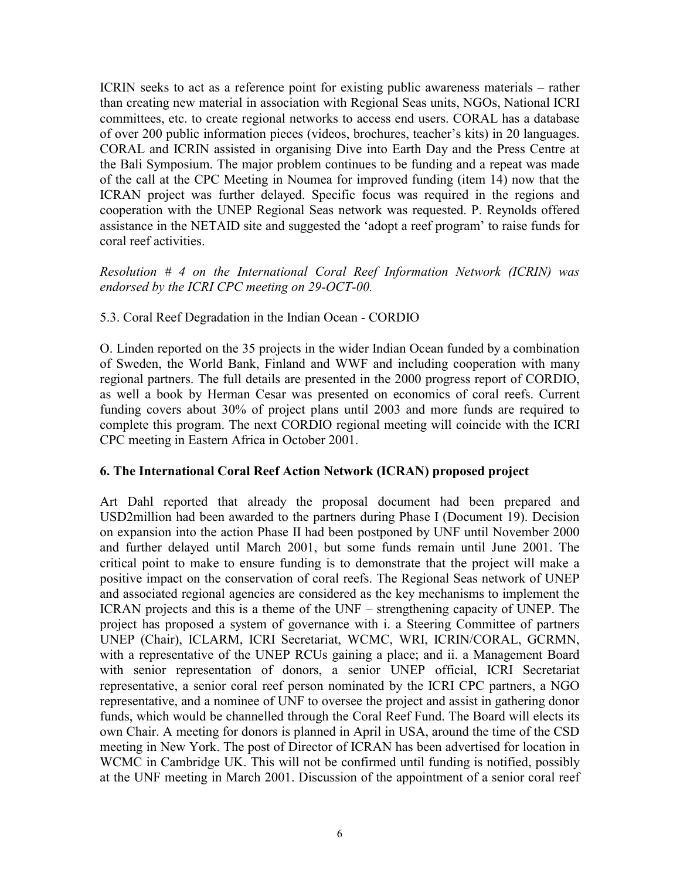ICRIN seeks to act as a reference point for existing public awareness materials  $-$  rather than creating new material in association with Regional Seas units, NGOs, National ICRI committees, etc. to create regional networks to access end users. CORAL has a database of over 200 public information pieces (videos, brochures, teacher's kits) in 20 languages. CORAL and ICRIN assisted in organising Dive into Earth Day and the Press Centre at the Bali Symposium. The major problem continues to be funding and a repeat was made of the call at the CPC Meeting in Noumea for improved funding (item 14) now that the ICRAN project was further delayed. Specific focus was required in the regions and cooperation with the UNEP Regional Seas network was requested. P. Reynolds offered assistance in the NETAID site and suggested the 'adopt a reef program' to raise funds for coral reef activities.

*Resolution # 4 on the International Coral Reef Information Network (ICRIN) was endorsed by the ICRI CPC meeting on 29-OCT-00.* 

## 5.3. Coral Reef Degradation in the Indian Ocean - CORDIO

O. Linden reported on the 35 projects in the wider Indian Ocean funded by a combination of Sweden, the World Bank, Finland and WWF and including cooperation with many regional partners. The full details are presented in the 2000 progress report of CORDIO, as well a book by Herman Cesar was presented on economics of coral reefs. Current funding covers about 30% of project plans until 2003 and more funds are required to complete this program. The next CORDIO regional meeting will coincide with the ICRI CPC meeting in Eastern Africa in October 2001.

### **6. The International Coral Reef Action Network (ICRAN) proposed project**

Art Dahl reported that already the proposal document had been prepared and USD2million had been awarded to the partners during Phase I (Document 19). Decision on expansion into the action Phase II had been postponed by UNF until November 2000 and further delayed until March 2001, but some funds remain until June 2001. The critical point to make to ensure funding is to demonstrate that the project will make a positive impact on the conservation of coral reefs. The Regional Seas network of UNEP and associated regional agencies are considered as the key mechanisms to implement the ICRAN projects and this is a theme of the  $UNF -$  strengthening capacity of UNEP. The project has proposed a system of governance with i. a Steering Committee of partners UNEP (Chair), ICLARM, ICRI Secretariat, WCMC, WRI, ICRIN/CORAL, GCRMN, with a representative of the UNEP RCUs gaining a place; and ii. a Management Board with senior representation of donors, a senior UNEP official, ICRI Secretariat representative, a senior coral reef person nominated by the ICRI CPC partners, a NGO representative, and a nominee of UNF to oversee the project and assist in gathering donor funds, which would be channelled through the Coral Reef Fund. The Board will elects its own Chair. A meeting for donors is planned in April in USA, around the time of the CSD meeting in New York. The post of Director of ICRAN has been advertised for location in WCMC in Cambridge UK. This will not be confirmed until funding is notified, possibly at the UNF meeting in March 2001. Discussion of the appointment of a senior coral reef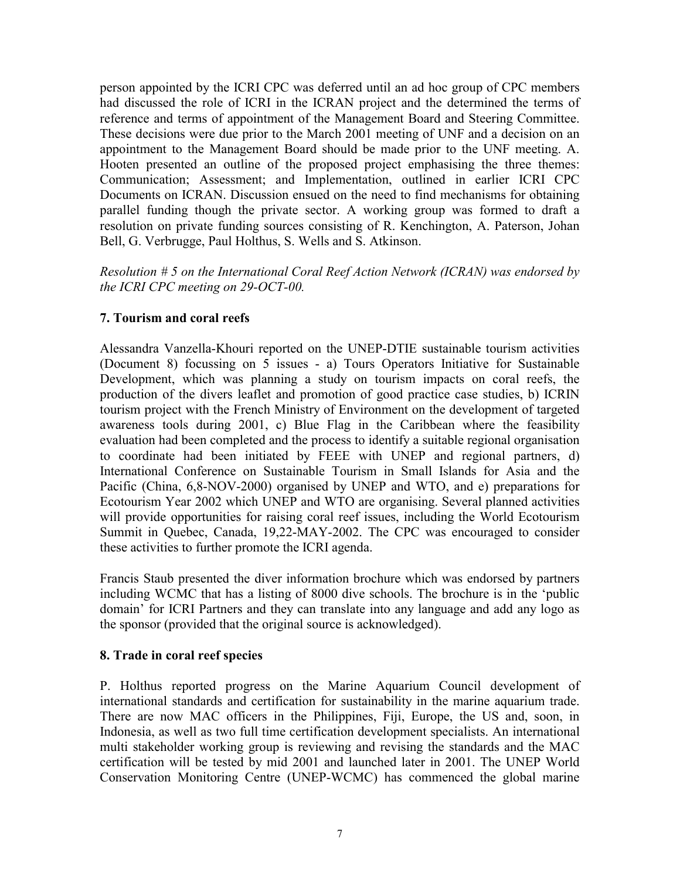person appointed by the ICRI CPC was deferred until an ad hoc group of CPC members had discussed the role of ICRI in the ICRAN project and the determined the terms of reference and terms of appointment of the Management Board and Steering Committee. These decisions were due prior to the March 2001 meeting of UNF and a decision on an appointment to the Management Board should be made prior to the UNF meeting. A. Hooten presented an outline of the proposed project emphasising the three themes: Communication; Assessment; and Implementation, outlined in earlier ICRI CPC Documents on ICRAN. Discussion ensued on the need to find mechanisms for obtaining parallel funding though the private sector. A working group was formed to draft a resolution on private funding sources consisting of R. Kenchington, A. Paterson, Johan Bell, G. Verbrugge, Paul Holthus, S. Wells and S. Atkinson.

*Resolution # 5 on the International Coral Reef Action Network (ICRAN) was endorsed by the ICRI CPC meeting on 29-OCT-00.* 

# **7. Tourism and coral reefs**

Alessandra Vanzella-Khouri reported on the UNEP-DTIE sustainable tourism activities (Document 8) focussing on 5 issues - a) Tours Operators Initiative for Sustainable Development, which was planning a study on tourism impacts on coral reefs, the production of the divers leaflet and promotion of good practice case studies, b) ICRIN tourism project with the French Ministry of Environment on the development of targeted awareness tools during 2001, c) Blue Flag in the Caribbean where the feasibility evaluation had been completed and the process to identify a suitable regional organisation to coordinate had been initiated by FEEE with UNEP and regional partners, d) International Conference on Sustainable Tourism in Small Islands for Asia and the Pacific (China, 6,8-NOV-2000) organised by UNEP and WTO, and e) preparations for Ecotourism Year 2002 which UNEP and WTO are organising. Several planned activities will provide opportunities for raising coral reef issues, including the World Ecotourism Summit in Quebec, Canada, 19,22-MAY-2002. The CPC was encouraged to consider these activities to further promote the ICRI agenda.

Francis Staub presented the diver information brochure which was endorsed by partners including WCMC that has a listing of 8000 dive schools. The brochure is in the 'public domain<sup>3</sup> for ICRI Partners and they can translate into any language and add any logo as the sponsor (provided that the original source is acknowledged).

## **8. Trade in coral reef species**

P. Holthus reported progress on the Marine Aquarium Council development of international standards and certification for sustainability in the marine aquarium trade. There are now MAC officers in the Philippines, Fiji, Europe, the US and, soon, in Indonesia, as well as two full time certification development specialists. An international multi stakeholder working group is reviewing and revising the standards and the MAC certification will be tested by mid 2001 and launched later in 2001. The UNEP World Conservation Monitoring Centre (UNEP-WCMC) has commenced the global marine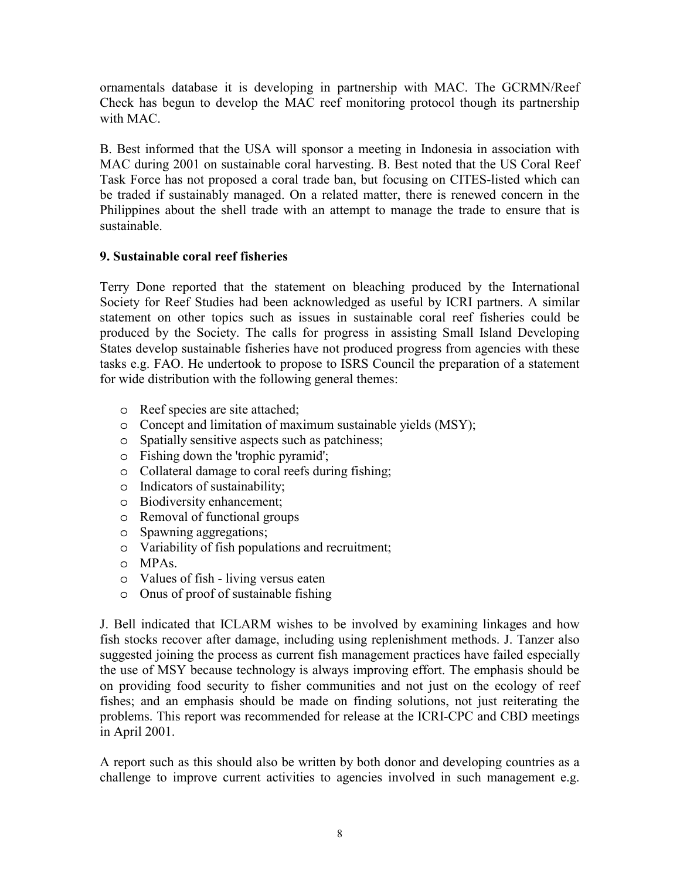ornamentals database it is developing in partnership with MAC. The GCRMN/Reef Check has begun to develop the MAC reef monitoring protocol though its partnership with MAC.

B. Best informed that the USA will sponsor a meeting in Indonesia in association with MAC during 2001 on sustainable coral harvesting. B. Best noted that the US Coral Reef Task Force has not proposed a coral trade ban, but focusing on CITES-listed which can be traded if sustainably managed. On a related matter, there is renewed concern in the Philippines about the shell trade with an attempt to manage the trade to ensure that is sustainable.

# **9. Sustainable coral reef fisheries**

Terry Done reported that the statement on bleaching produced by the International Society for Reef Studies had been acknowledged as useful by ICRI partners. A similar statement on other topics such as issues in sustainable coral reef fisheries could be produced by the Society. The calls for progress in assisting Small Island Developing States develop sustainable fisheries have not produced progress from agencies with these tasks e.g. FAO. He undertook to propose to ISRS Council the preparation of a statement for wide distribution with the following general themes:

- o Reef species are site attached;
- o Concept and limitation of maximum sustainable yields (MSY);
- o Spatially sensitive aspects such as patchiness;
- o Fishing down the 'trophic pyramid';
- o Collateral damage to coral reefs during fishing;
- o Indicators of sustainability;
- o Biodiversity enhancement;
- o Removal of functional groups
- o Spawning aggregations;
- o Variability of fish populations and recruitment;
- o MPAs.
- o Values of fish living versus eaten
- o Onus of proof of sustainable fishing

J. Bell indicated that ICLARM wishes to be involved by examining linkages and how fish stocks recover after damage, including using replenishment methods. J. Tanzer also suggested joining the process as current fish management practices have failed especially the use of MSY because technology is always improving effort. The emphasis should be on providing food security to fisher communities and not just on the ecology of reef fishes; and an emphasis should be made on finding solutions, not just reiterating the problems. This report was recommended for release at the ICRI-CPC and CBD meetings in April 2001.

A report such as this should also be written by both donor and developing countries as a challenge to improve current activities to agencies involved in such management e.g.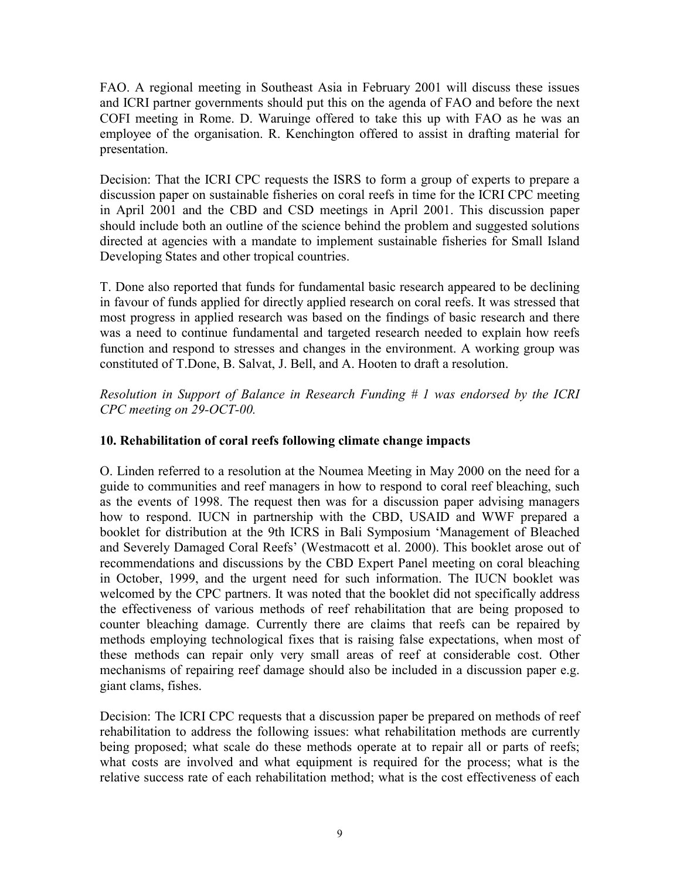FAO. A regional meeting in Southeast Asia in February 2001 will discuss these issues and ICRI partner governments should put this on the agenda of FAO and before the next COFI meeting in Rome. D. Waruinge offered to take this up with FAO as he was an employee of the organisation. R. Kenchington offered to assist in drafting material for presentation.

Decision: That the ICRI CPC requests the ISRS to form a group of experts to prepare a discussion paper on sustainable fisheries on coral reefs in time for the ICRI CPC meeting in April 2001 and the CBD and CSD meetings in April 2001. This discussion paper should include both an outline of the science behind the problem and suggested solutions directed at agencies with a mandate to implement sustainable fisheries for Small Island Developing States and other tropical countries.

T. Done also reported that funds for fundamental basic research appeared to be declining in favour of funds applied for directly applied research on coral reefs. It was stressed that most progress in applied research was based on the findings of basic research and there was a need to continue fundamental and targeted research needed to explain how reefs function and respond to stresses and changes in the environment. A working group was constituted of T.Done, B. Salvat, J. Bell, and A. Hooten to draft a resolution.

*Resolution in Support of Balance in Research Funding # 1 was endorsed by the ICRI CPC meeting on 29-OCT-00.* 

## **10. Rehabilitation of coral reefs following climate change impacts**

O. Linden referred to a resolution at the Noumea Meeting in May 2000 on the need for a guide to communities and reef managers in how to respond to coral reef bleaching, such as the events of 1998. The request then was for a discussion paper advising managers how to respond. IUCN in partnership with the CBD, USAID and WWF prepared a booklet for distribution at the 9th ICRS in Bali Symposium 'Management of Bleached and Severely Damaged Coral Reefs' (Westmacott et al. 2000). This booklet arose out of recommendations and discussions by the CBD Expert Panel meeting on coral bleaching in October, 1999, and the urgent need for such information. The IUCN booklet was welcomed by the CPC partners. It was noted that the booklet did not specifically address the effectiveness of various methods of reef rehabilitation that are being proposed to counter bleaching damage. Currently there are claims that reefs can be repaired by methods employing technological fixes that is raising false expectations, when most of these methods can repair only very small areas of reef at considerable cost. Other mechanisms of repairing reef damage should also be included in a discussion paper e.g. giant clams, fishes.

Decision: The ICRI CPC requests that a discussion paper be prepared on methods of reef rehabilitation to address the following issues: what rehabilitation methods are currently being proposed; what scale do these methods operate at to repair all or parts of reefs; what costs are involved and what equipment is required for the process; what is the relative success rate of each rehabilitation method; what is the cost effectiveness of each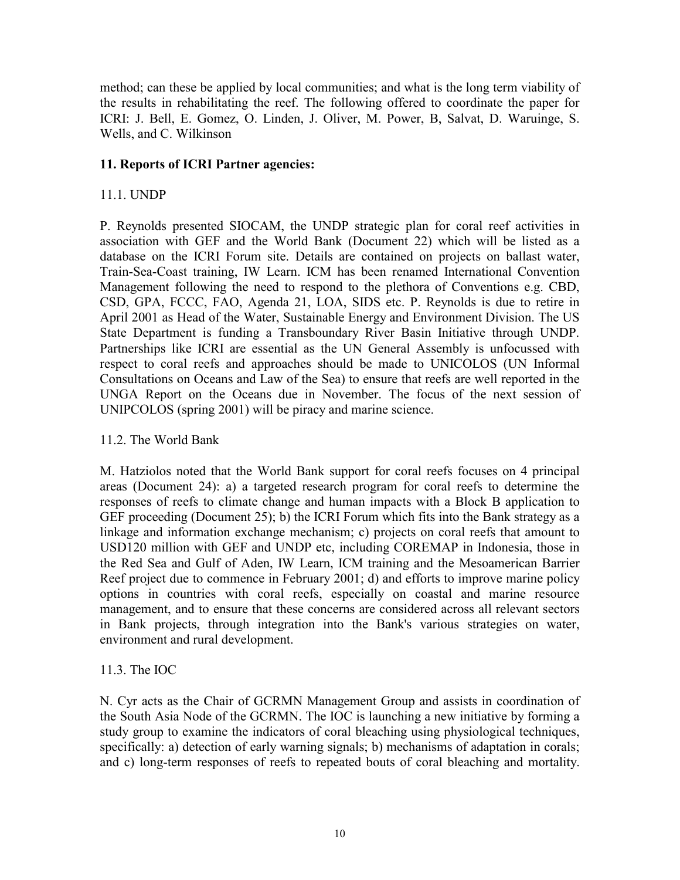method; can these be applied by local communities; and what is the long term viability of the results in rehabilitating the reef. The following offered to coordinate the paper for ICRI: J. Bell, E. Gomez, O. Linden, J. Oliver, M. Power, B, Salvat, D. Waruinge, S. Wells, and C. Wilkinson

## **11. Reports of ICRI Partner agencies:**

# 11.1. UNDP

P. Reynolds presented SIOCAM, the UNDP strategic plan for coral reef activities in association with GEF and the World Bank (Document 22) which will be listed as a database on the ICRI Forum site. Details are contained on projects on ballast water, Train-Sea-Coast training, IW Learn. ICM has been renamed International Convention Management following the need to respond to the plethora of Conventions e.g. CBD, CSD, GPA, FCCC, FAO, Agenda 21, LOA, SIDS etc. P. Reynolds is due to retire in April 2001 as Head of the Water, Sustainable Energy and Environment Division. The US State Department is funding a Transboundary River Basin Initiative through UNDP. Partnerships like ICRI are essential as the UN General Assembly is unfocussed with respect to coral reefs and approaches should be made to UNICOLOS (UN Informal Consultations on Oceans and Law of the Sea) to ensure that reefs are well reported in the UNGA Report on the Oceans due in November. The focus of the next session of UNIPCOLOS (spring 2001) will be piracy and marine science.

## 11.2. The World Bank

M. Hatziolos noted that the World Bank support for coral reefs focuses on 4 principal areas (Document 24): a) a targeted research program for coral reefs to determine the responses of reefs to climate change and human impacts with a Block B application to GEF proceeding (Document 25); b) the ICRI Forum which fits into the Bank strategy as a linkage and information exchange mechanism; c) projects on coral reefs that amount to USD120 million with GEF and UNDP etc, including COREMAP in Indonesia, those in the Red Sea and Gulf of Aden, IW Learn, ICM training and the Mesoamerican Barrier Reef project due to commence in February 2001; d) and efforts to improve marine policy options in countries with coral reefs, especially on coastal and marine resource management, and to ensure that these concerns are considered across all relevant sectors in Bank projects, through integration into the Bank's various strategies on water, environment and rural development.

## 11.3. The IOC

N. Cyr acts as the Chair of GCRMN Management Group and assists in coordination of the South Asia Node of the GCRMN. The IOC is launching a new initiative by forming a study group to examine the indicators of coral bleaching using physiological techniques, specifically: a) detection of early warning signals; b) mechanisms of adaptation in corals; and c) long-term responses of reefs to repeated bouts of coral bleaching and mortality.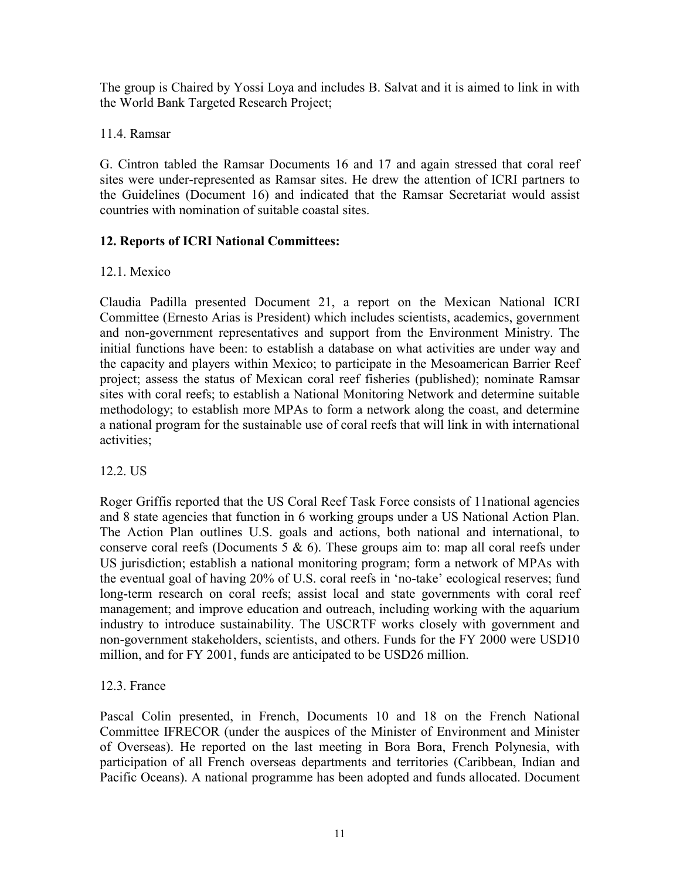The group is Chaired by Yossi Loya and includes B. Salvat and it is aimed to link in with the World Bank Targeted Research Project;

11.4. Ramsar

G. Cintron tabled the Ramsar Documents 16 and 17 and again stressed that coral reef sites were under-represented as Ramsar sites. He drew the attention of ICRI partners to the Guidelines (Document 16) and indicated that the Ramsar Secretariat would assist countries with nomination of suitable coastal sites.

# **12. Reports of ICRI National Committees:**

# 12.1. Mexico

Claudia Padilla presented Document 21, a report on the Mexican National ICRI Committee (Ernesto Arias is President) which includes scientists, academics, government and non-government representatives and support from the Environment Ministry. The initial functions have been: to establish a database on what activities are under way and the capacity and players within Mexico; to participate in the Mesoamerican Barrier Reef project; assess the status of Mexican coral reef fisheries (published); nominate Ramsar sites with coral reefs; to establish a National Monitoring Network and determine suitable methodology; to establish more MPAs to form a network along the coast, and determine a national program for the sustainable use of coral reefs that will link in with international activities;

# 12.2. US

Roger Griffis reported that the US Coral Reef Task Force consists of 11national agencies and 8 state agencies that function in 6 working groups under a US National Action Plan. The Action Plan outlines U.S. goals and actions, both national and international, to conserve coral reefs (Documents  $5 \& 6$ ). These groups aim to: map all coral reefs under US jurisdiction; establish a national monitoring program; form a network of MPAs with the eventual goal of having 20% of U.S. coral reefs in 'no-take' ecological reserves; fund long-term research on coral reefs; assist local and state governments with coral reef management; and improve education and outreach, including working with the aquarium industry to introduce sustainability. The USCRTF works closely with government and non-government stakeholders, scientists, and others. Funds for the FY 2000 were USD10 million, and for FY 2001, funds are anticipated to be USD26 million.

# 12.3. France

Pascal Colin presented, in French, Documents 10 and 18 on the French National Committee IFRECOR (under the auspices of the Minister of Environment and Minister of Overseas). He reported on the last meeting in Bora Bora, French Polynesia, with participation of all French overseas departments and territories (Caribbean, Indian and Pacific Oceans). A national programme has been adopted and funds allocated. Document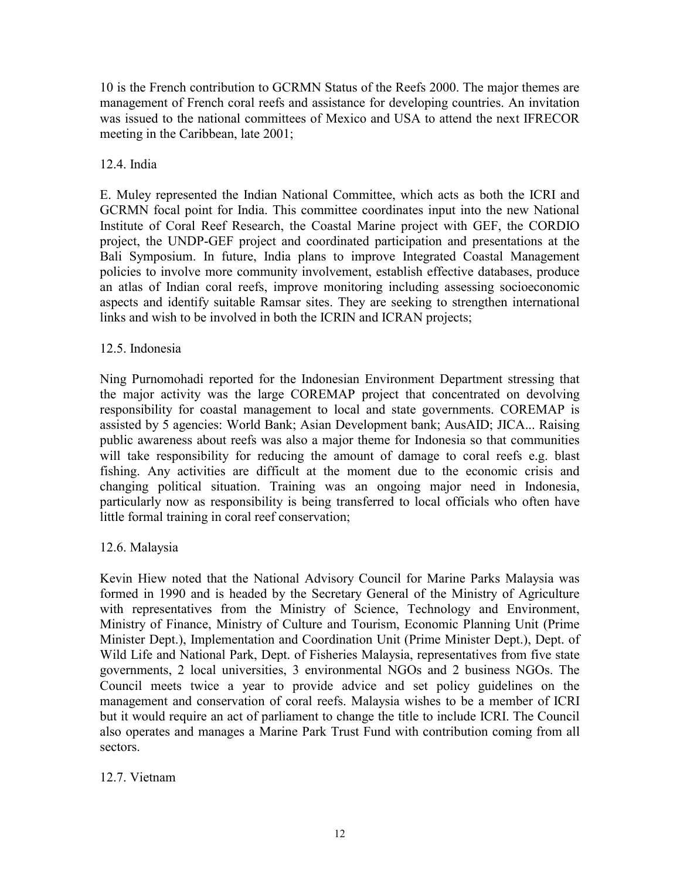10 is the French contribution to GCRMN Status of the Reefs 2000. The major themes are management of French coral reefs and assistance for developing countries. An invitation was issued to the national committees of Mexico and USA to attend the next IFRECOR meeting in the Caribbean, late 2001;

## 12.4. India

E. Muley represented the Indian National Committee, which acts as both the ICRI and GCRMN focal point for India. This committee coordinates input into the new National Institute of Coral Reef Research, the Coastal Marine project with GEF, the CORDIO project, the UNDP-GEF project and coordinated participation and presentations at the Bali Symposium. In future, India plans to improve Integrated Coastal Management policies to involve more community involvement, establish effective databases, produce an atlas of Indian coral reefs, improve monitoring including assessing socioeconomic aspects and identify suitable Ramsar sites. They are seeking to strengthen international links and wish to be involved in both the ICRIN and ICRAN projects;

## 12.5. Indonesia

Ning Purnomohadi reported for the Indonesian Environment Department stressing that the major activity was the large COREMAP project that concentrated on devolving responsibility for coastal management to local and state governments. COREMAP is assisted by 5 agencies: World Bank; Asian Development bank; AusAID; JICA... Raising public awareness about reefs was also a major theme for Indonesia so that communities will take responsibility for reducing the amount of damage to coral reefs e.g. blast fishing. Any activities are difficult at the moment due to the economic crisis and changing political situation. Training was an ongoing major need in Indonesia, particularly now as responsibility is being transferred to local officials who often have little formal training in coral reef conservation;

## 12.6. Malaysia

Kevin Hiew noted that the National Advisory Council for Marine Parks Malaysia was formed in 1990 and is headed by the Secretary General of the Ministry of Agriculture with representatives from the Ministry of Science, Technology and Environment, Ministry of Finance, Ministry of Culture and Tourism, Economic Planning Unit (Prime Minister Dept.), Implementation and Coordination Unit (Prime Minister Dept.), Dept. of Wild Life and National Park, Dept. of Fisheries Malaysia, representatives from five state governments, 2 local universities, 3 environmental NGOs and 2 business NGOs. The Council meets twice a year to provide advice and set policy guidelines on the management and conservation of coral reefs. Malaysia wishes to be a member of ICRI but it would require an act of parliament to change the title to include ICRI. The Council also operates and manages a Marine Park Trust Fund with contribution coming from all sectors.

## 12.7. Vietnam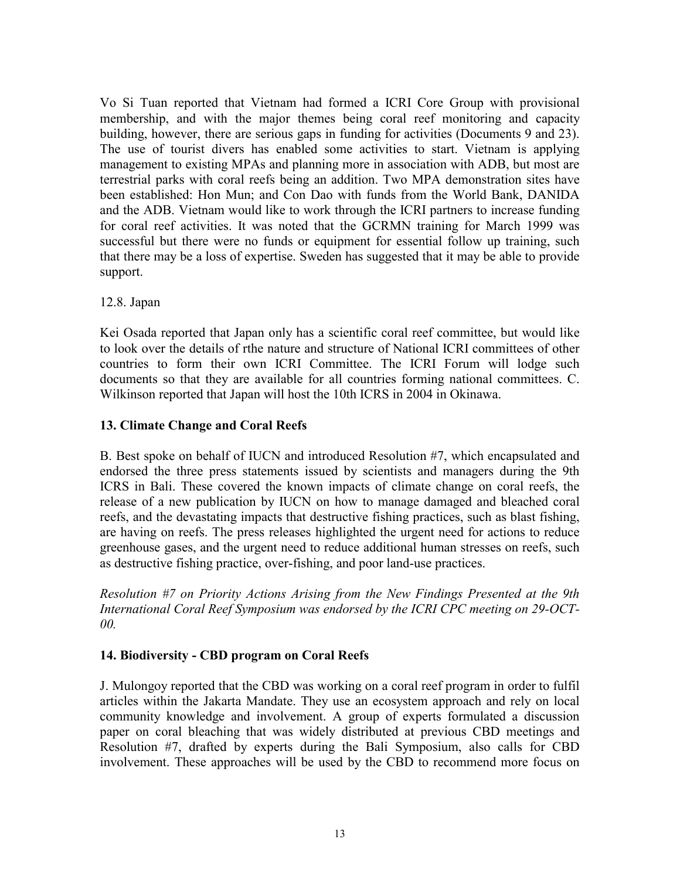Vo Si Tuan reported that Vietnam had formed a ICRI Core Group with provisional membership, and with the major themes being coral reef monitoring and capacity building, however, there are serious gaps in funding for activities (Documents 9 and 23). The use of tourist divers has enabled some activities to start. Vietnam is applying management to existing MPAs and planning more in association with ADB, but most are terrestrial parks with coral reefs being an addition. Two MPA demonstration sites have been established: Hon Mun; and Con Dao with funds from the World Bank, DANIDA and the ADB. Vietnam would like to work through the ICRI partners to increase funding for coral reef activities. It was noted that the GCRMN training for March 1999 was successful but there were no funds or equipment for essential follow up training, such that there may be a loss of expertise. Sweden has suggested that it may be able to provide support.

### 12.8. Japan

Kei Osada reported that Japan only has a scientific coral reef committee, but would like to look over the details of rthe nature and structure of National ICRI committees of other countries to form their own ICRI Committee. The ICRI Forum will lodge such documents so that they are available for all countries forming national committees. C. Wilkinson reported that Japan will host the 10th ICRS in 2004 in Okinawa.

## **13. Climate Change and Coral Reefs**

B. Best spoke on behalf of IUCN and introduced Resolution #7, which encapsulated and endorsed the three press statements issued by scientists and managers during the 9th ICRS in Bali. These covered the known impacts of climate change on coral reefs, the release of a new publication by IUCN on how to manage damaged and bleached coral reefs, and the devastating impacts that destructive fishing practices, such as blast fishing, are having on reefs. The press releases highlighted the urgent need for actions to reduce greenhouse gases, and the urgent need to reduce additional human stresses on reefs, such as destructive fishing practice, over-fishing, and poor land-use practices.

*Resolution #7 on Priority Actions Arising from the New Findings Presented at the 9th International Coral Reef Symposium was endorsed by the ICRI CPC meeting on 29-OCT-00.* 

## **14. Biodiversity - CBD program on Coral Reefs**

J. Mulongoy reported that the CBD was working on a coral reef program in order to fulfil articles within the Jakarta Mandate. They use an ecosystem approach and rely on local community knowledge and involvement. A group of experts formulated a discussion paper on coral bleaching that was widely distributed at previous CBD meetings and Resolution #7, drafted by experts during the Bali Symposium, also calls for CBD involvement. These approaches will be used by the CBD to recommend more focus on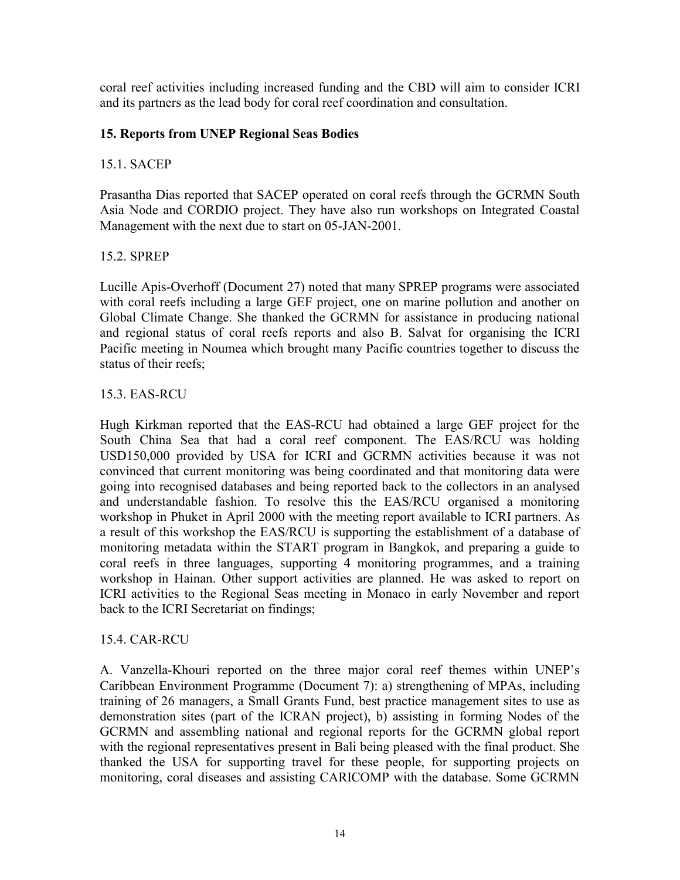coral reef activities including increased funding and the CBD will aim to consider ICRI and its partners as the lead body for coral reef coordination and consultation.

## **15. Reports from UNEP Regional Seas Bodies**

## 15.1. SACEP

Prasantha Dias reported that SACEP operated on coral reefs through the GCRMN South Asia Node and CORDIO project. They have also run workshops on Integrated Coastal Management with the next due to start on 05-JAN-2001.

# 15.2. SPREP

Lucille Apis-Overhoff (Document 27) noted that many SPREP programs were associated with coral reefs including a large GEF project, one on marine pollution and another on Global Climate Change. She thanked the GCRMN for assistance in producing national and regional status of coral reefs reports and also B. Salvat for organising the ICRI Pacific meeting in Noumea which brought many Pacific countries together to discuss the status of their reefs;

# 15.3. EAS-RCU

Hugh Kirkman reported that the EAS-RCU had obtained a large GEF project for the South China Sea that had a coral reef component. The EAS/RCU was holding USD150,000 provided by USA for ICRI and GCRMN activities because it was not convinced that current monitoring was being coordinated and that monitoring data were going into recognised databases and being reported back to the collectors in an analysed and understandable fashion. To resolve this the EAS/RCU organised a monitoring workshop in Phuket in April 2000 with the meeting report available to ICRI partners. As a result of this workshop the EAS/RCU is supporting the establishment of a database of monitoring metadata within the START program in Bangkok, and preparing a guide to coral reefs in three languages, supporting 4 monitoring programmes, and a training workshop in Hainan. Other support activities are planned. He was asked to report on ICRI activities to the Regional Seas meeting in Monaco in early November and report back to the ICRI Secretariat on findings;

## 15.4. CAR-RCU

A. Vanzella-Khouri reported on the three major coral reef themes within UNEPís Caribbean Environment Programme (Document 7): a) strengthening of MPAs, including training of 26 managers, a Small Grants Fund, best practice management sites to use as demonstration sites (part of the ICRAN project), b) assisting in forming Nodes of the GCRMN and assembling national and regional reports for the GCRMN global report with the regional representatives present in Bali being pleased with the final product. She thanked the USA for supporting travel for these people, for supporting projects on monitoring, coral diseases and assisting CARICOMP with the database. Some GCRMN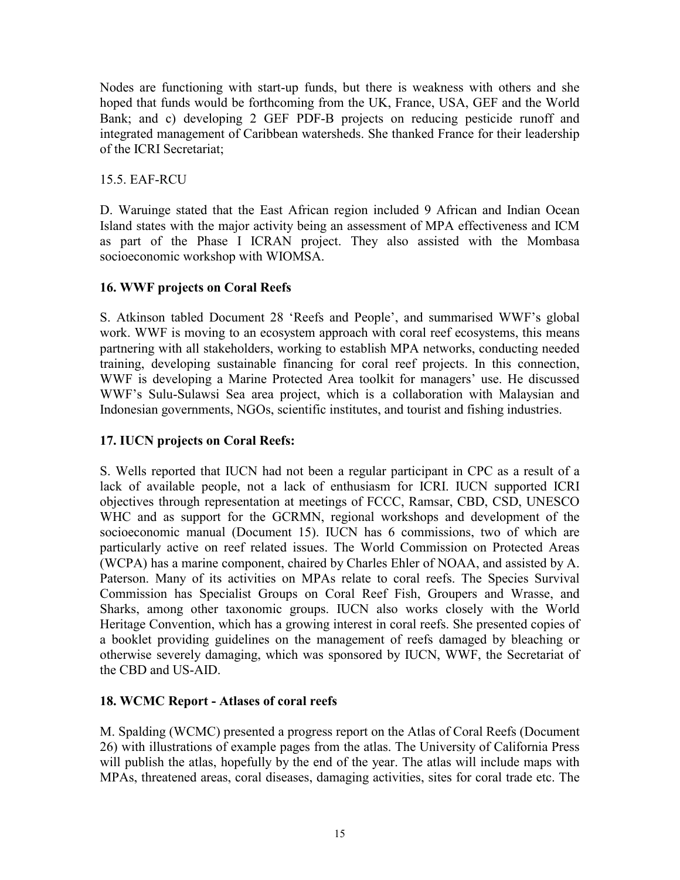Nodes are functioning with start-up funds, but there is weakness with others and she hoped that funds would be forthcoming from the UK, France, USA, GEF and the World Bank; and c) developing 2 GEF PDF-B projects on reducing pesticide runoff and integrated management of Caribbean watersheds. She thanked France for their leadership of the ICRI Secretariat;

15.5. EAF-RCU

D. Waruinge stated that the East African region included 9 African and Indian Ocean Island states with the major activity being an assessment of MPA effectiveness and ICM as part of the Phase I ICRAN project. They also assisted with the Mombasa socioeconomic workshop with WIOMSA.

# **16. WWF projects on Coral Reefs**

S. Atkinson tabled Document 28 'Reefs and People', and summarised WWF's global work. WWF is moving to an ecosystem approach with coral reef ecosystems, this means partnering with all stakeholders, working to establish MPA networks, conducting needed training, developing sustainable financing for coral reef projects. In this connection, WWF is developing a Marine Protected Area toolkit for managers' use. He discussed WWF's Sulu-Sulawsi Sea area project, which is a collaboration with Malaysian and Indonesian governments, NGOs, scientific institutes, and tourist and fishing industries.

# **17. IUCN projects on Coral Reefs:**

S. Wells reported that IUCN had not been a regular participant in CPC as a result of a lack of available people, not a lack of enthusiasm for ICRI. IUCN supported ICRI objectives through representation at meetings of FCCC, Ramsar, CBD, CSD, UNESCO WHC and as support for the GCRMN, regional workshops and development of the socioeconomic manual (Document 15). IUCN has 6 commissions, two of which are particularly active on reef related issues. The World Commission on Protected Areas (WCPA) has a marine component, chaired by Charles Ehler of NOAA, and assisted by A. Paterson. Many of its activities on MPAs relate to coral reefs. The Species Survival Commission has Specialist Groups on Coral Reef Fish, Groupers and Wrasse, and Sharks, among other taxonomic groups. IUCN also works closely with the World Heritage Convention, which has a growing interest in coral reefs. She presented copies of a booklet providing guidelines on the management of reefs damaged by bleaching or otherwise severely damaging, which was sponsored by IUCN, WWF, the Secretariat of the CBD and US-AID.

## **18. WCMC Report - Atlases of coral reefs**

M. Spalding (WCMC) presented a progress report on the Atlas of Coral Reefs (Document 26) with illustrations of example pages from the atlas. The University of California Press will publish the atlas, hopefully by the end of the year. The atlas will include maps with MPAs, threatened areas, coral diseases, damaging activities, sites for coral trade etc. The